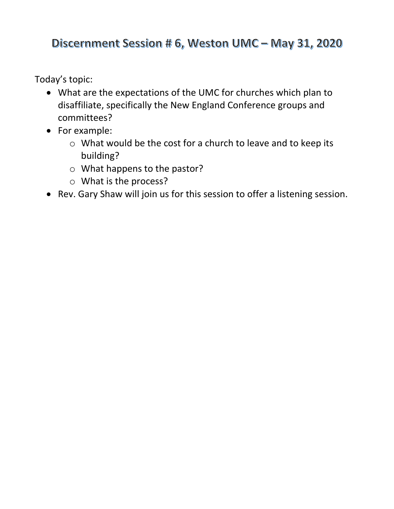# Discernment Session # 6, Weston UMC - May 31, 2020

Today's topic:

- What are the expectations of the UMC for churches which plan to disaffiliate, specifically the New England Conference groups and committees?
- For example:
	- o What would be the cost for a church to leave and to keep its building?
	- o What happens to the pastor?
	- o What is the process?
- Rev. Gary Shaw will join us for this session to offer a listening session.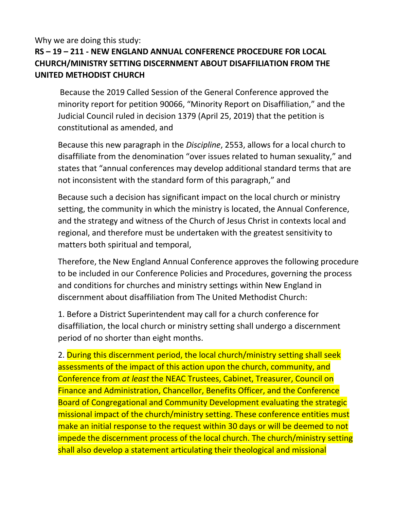#### Why we are doing this study:

## **RS – 19 – 211 - NEW ENGLAND ANNUAL CONFERENCE PROCEDURE FOR LOCAL CHURCH/MINISTRY SETTING DISCERNMENT ABOUT DISAFFILIATION FROM THE UNITED METHODIST CHURCH**

Because the 2019 Called Session of the General Conference approved the minority report for petition 90066, "Minority Report on Disaffiliation," and the Judicial Council ruled in decision 1379 (April 25, 2019) that the petition is constitutional as amended, and

Because this new paragraph in the *Discipline*, 2553, allows for a local church to disaffiliate from the denomination "over issues related to human sexuality," and states that "annual conferences may develop additional standard terms that are not inconsistent with the standard form of this paragraph," and

Because such a decision has significant impact on the local church or ministry setting, the community in which the ministry is located, the Annual Conference, and the strategy and witness of the Church of Jesus Christ in contexts local and regional, and therefore must be undertaken with the greatest sensitivity to matters both spiritual and temporal,

Therefore, the New England Annual Conference approves the following procedure to be included in our Conference Policies and Procedures, governing the process and conditions for churches and ministry settings within New England in discernment about disaffiliation from The United Methodist Church:

1. Before a District Superintendent may call for a church conference for disaffiliation, the local church or ministry setting shall undergo a discernment period of no shorter than eight months.

2. During this discernment period, the local church/ministry setting shall seek assessments of the impact of this action upon the church, community, and Conference from *at least* the NEAC Trustees, Cabinet, Treasurer, Council on Finance and Administration, Chancellor, Benefits Officer, and the Conference Board of Congregational and Community Development evaluating the strategic missional impact of the church/ministry setting. These conference entities must make an initial response to the request within 30 days or will be deemed to not impede the discernment process of the local church. The church/ministry setting shall also develop a statement articulating their theological and missional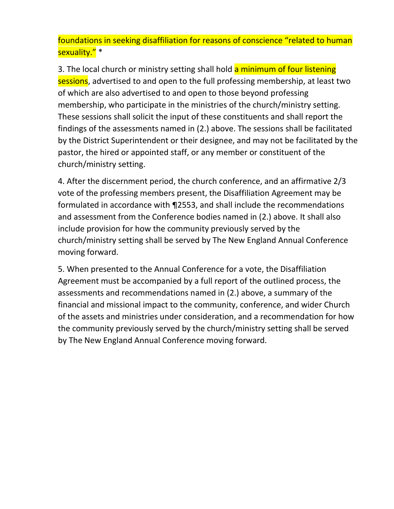foundations in seeking disaffiliation for reasons of conscience "related to human sexuality." \*

3. The local church or ministry setting shall hold a minimum of four listening sessions, advertised to and open to the full professing membership, at least two of which are also advertised to and open to those beyond professing membership, who participate in the ministries of the church/ministry setting. These sessions shall solicit the input of these constituents and shall report the findings of the assessments named in (2.) above. The sessions shall be facilitated by the District Superintendent or their designee, and may not be facilitated by the pastor, the hired or appointed staff, or any member or constituent of the church/ministry setting.

4. After the discernment period, the church conference, and an affirmative 2/3 vote of the professing members present, the Disaffiliation Agreement may be formulated in accordance with ¶2553, and shall include the recommendations and assessment from the Conference bodies named in (2.) above. It shall also include provision for how the community previously served by the church/ministry setting shall be served by The New England Annual Conference moving forward.

5. When presented to the Annual Conference for a vote, the Disaffiliation Agreement must be accompanied by a full report of the outlined process, the assessments and recommendations named in (2.) above, a summary of the financial and missional impact to the community, conference, and wider Church of the assets and ministries under consideration, and a recommendation for how the community previously served by the church/ministry setting shall be served by The New England Annual Conference moving forward.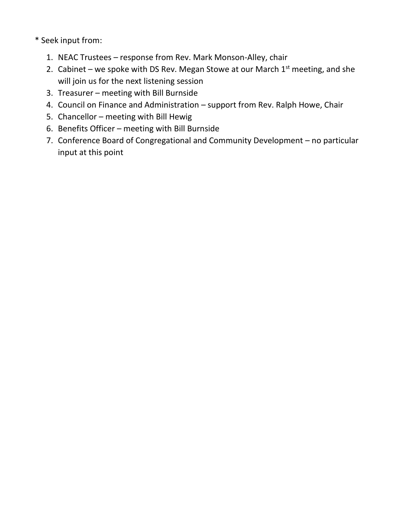\* Seek input from:

- 1. NEAC Trustees response from Rev. Mark Monson-Alley, chair
- 2. Cabinet we spoke with DS Rev. Megan Stowe at our March  $1<sup>st</sup>$  meeting, and she will join us for the next listening session
- 3. Treasurer meeting with Bill Burnside
- 4. Council on Finance and Administration support from Rev. Ralph Howe, Chair
- 5. Chancellor meeting with Bill Hewig
- 6. Benefits Officer meeting with Bill Burnside
- 7. Conference Board of Congregational and Community Development no particular input at this point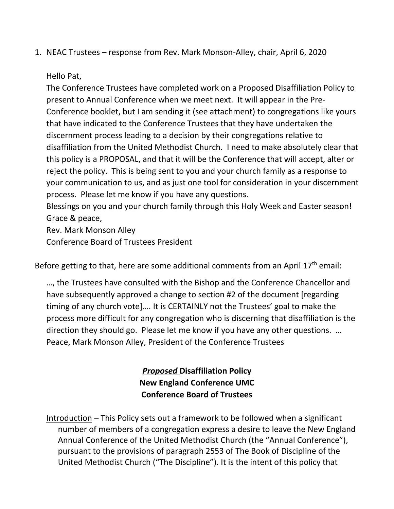1. NEAC Trustees – response from Rev. Mark Monson-Alley, chair, April 6, 2020

#### Hello Pat,

The Conference Trustees have completed work on a Proposed Disaffiliation Policy to present to Annual Conference when we meet next. It will appear in the Pre-Conference booklet, but I am sending it (see attachment) to congregations like yours that have indicated to the Conference Trustees that they have undertaken the discernment process leading to a decision by their congregations relative to disaffiliation from the United Methodist Church. I need to make absolutely clear that this policy is a PROPOSAL, and that it will be the Conference that will accept, alter or reject the policy. This is being sent to you and your church family as a response to your communication to us, and as just one tool for consideration in your discernment process. Please let me know if you have any questions.

Blessings on you and your church family through this Holy Week and Easter season! Grace & peace,

Rev. Mark Monson Alley

Conference Board of Trustees President

Before getting to that, here are some additional comments from an April  $17<sup>th</sup>$  email:

…, the Trustees have consulted with the Bishop and the Conference Chancellor and have subsequently approved a change to section #2 of the document [regarding timing of any church vote]…. It is CERTAINLY not the Trustees' goal to make the process more difficult for any congregation who is discerning that disaffiliation is the direction they should go. Please let me know if you have any other questions. … Peace, Mark Monson Alley, President of the Conference Trustees

> *Proposed* **Disaffiliation Policy New England Conference UMC Conference Board of Trustees**

Introduction – This Policy sets out a framework to be followed when a significant number of members of a congregation express a desire to leave the New England Annual Conference of the United Methodist Church (the "Annual Conference"), pursuant to the provisions of paragraph 2553 of The Book of Discipline of the United Methodist Church ("The Discipline"). It is the intent of this policy that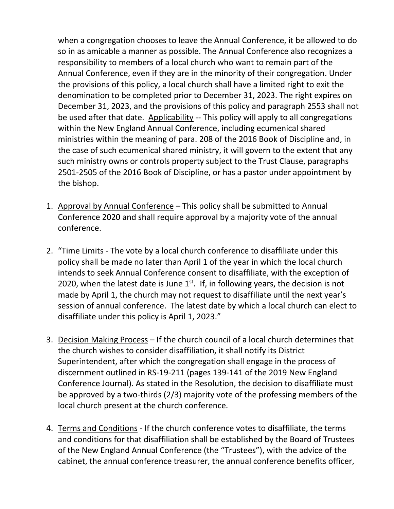when a congregation chooses to leave the Annual Conference, it be allowed to do so in as amicable a manner as possible. The Annual Conference also recognizes a responsibility to members of a local church who want to remain part of the Annual Conference, even if they are in the minority of their congregation. Under the provisions of this policy, a local church shall have a limited right to exit the denomination to be completed prior to December 31, 2023. The right expires on December 31, 2023, and the provisions of this policy and paragraph 2553 shall not be used after that date. Applicability -- This policy will apply to all congregations within the New England Annual Conference, including ecumenical shared ministries within the meaning of para. 208 of the 2016 Book of Discipline and, in the case of such ecumenical shared ministry, it will govern to the extent that any such ministry owns or controls property subject to the Trust Clause, paragraphs 2501-2505 of the 2016 Book of Discipline, or has a pastor under appointment by the bishop.

- 1. Approval by Annual Conference This policy shall be submitted to Annual Conference 2020 and shall require approval by a majority vote of the annual conference.
- 2. "Time Limits The vote by a local church conference to disaffiliate under this policy shall be made no later than April 1 of the year in which the local church intends to seek Annual Conference consent to disaffiliate, with the exception of 2020, when the latest date is June  $1<sup>st</sup>$ . If, in following years, the decision is not made by April 1, the church may not request to disaffiliate until the next year's session of annual conference. The latest date by which a local church can elect to disaffiliate under this policy is April 1, 2023."
- 3. Decision Making Process If the church council of a local church determines that the church wishes to consider disaffiliation, it shall notify its District Superintendent, after which the congregation shall engage in the process of discernment outlined in RS-19-211 (pages 139-141 of the 2019 New England Conference Journal). As stated in the Resolution, the decision to disaffiliate must be approved by a two-thirds (2/3) majority vote of the professing members of the local church present at the church conference.
- 4. Terms and Conditions If the church conference votes to disaffiliate, the terms and conditions for that disaffiliation shall be established by the Board of Trustees of the New England Annual Conference (the "Trustees"), with the advice of the cabinet, the annual conference treasurer, the annual conference benefits officer,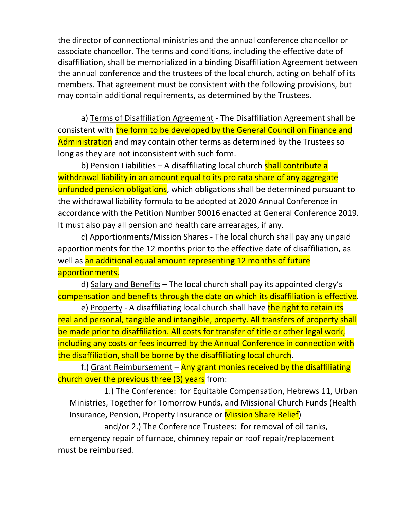the director of connectional ministries and the annual conference chancellor or associate chancellor. The terms and conditions, including the effective date of disaffiliation, shall be memorialized in a binding Disaffiliation Agreement between the annual conference and the trustees of the local church, acting on behalf of its members. That agreement must be consistent with the following provisions, but may contain additional requirements, as determined by the Trustees.

a) Terms of Disaffiliation Agreement - The Disaffiliation Agreement shall be consistent with the form to be developed by the General Council on Finance and Administration and may contain other terms as determined by the Trustees so long as they are not inconsistent with such form.

b) Pension Liabilities – A disaffiliating local church **shall contribute a** withdrawal liability in an amount equal to its pro rata share of any aggregate unfunded pension obligations, which obligations shall be determined pursuant to the withdrawal liability formula to be adopted at 2020 Annual Conference in accordance with the Petition Number 90016 enacted at General Conference 2019. It must also pay all pension and health care arrearages, if any.

c) Apportionments/Mission Shares - The local church shall pay any unpaid apportionments for the 12 months prior to the effective date of disaffiliation, as well as an additional equal amount representing 12 months of future apportionments.

d) Salary and Benefits – The local church shall pay its appointed clergy's compensation and benefits through the date on which its disaffiliation is effective.

e) Property - A disaffiliating local church shall have the right to retain its real and personal, tangible and intangible, property. All transfers of property shall be made prior to disaffiliation. All costs for transfer of title or other legal work, including any costs or fees incurred by the Annual Conference in connection with the disaffiliation, shall be borne by the disaffiliating local church.

f.) Grant Reimbursement – Any grant monies received by the disaffiliating church over the previous three (3) years from:

1.) The Conference: for Equitable Compensation, Hebrews 11, Urban Ministries, Together for Tomorrow Funds, and Missional Church Funds (Health Insurance, Pension, Property Insurance or Mission Share Relief)

and/or 2.) The Conference Trustees: for removal of oil tanks, emergency repair of furnace, chimney repair or roof repair/replacement must be reimbursed.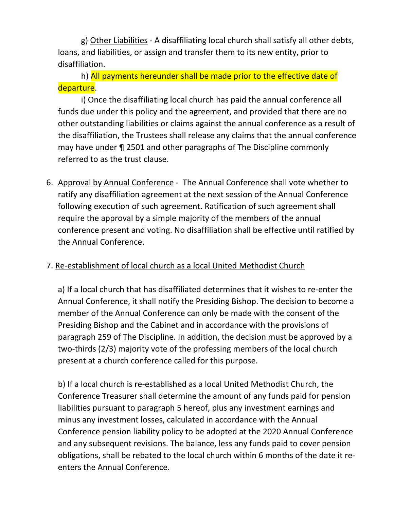g) Other Liabilities - A disaffiliating local church shall satisfy all other debts, loans, and liabilities, or assign and transfer them to its new entity, prior to disaffiliation.

h) All payments hereunder shall be made prior to the effective date of departure.

i) Once the disaffiliating local church has paid the annual conference all funds due under this policy and the agreement, and provided that there are no other outstanding liabilities or claims against the annual conference as a result of the disaffiliation, the Trustees shall release any claims that the annual conference may have under ¶ 2501 and other paragraphs of The Discipline commonly referred to as the trust clause.

6. Approval by Annual Conference - The Annual Conference shall vote whether to ratify any disaffiliation agreement at the next session of the Annual Conference following execution of such agreement. Ratification of such agreement shall require the approval by a simple majority of the members of the annual conference present and voting. No disaffiliation shall be effective until ratified by the Annual Conference.

## 7. Re-establishment of local church as a local United Methodist Church

a) If a local church that has disaffiliated determines that it wishes to re-enter the Annual Conference, it shall notify the Presiding Bishop. The decision to become a member of the Annual Conference can only be made with the consent of the Presiding Bishop and the Cabinet and in accordance with the provisions of paragraph 259 of The Discipline. In addition, the decision must be approved by a two-thirds (2/3) majority vote of the professing members of the local church present at a church conference called for this purpose.

b) If a local church is re-established as a local United Methodist Church, the Conference Treasurer shall determine the amount of any funds paid for pension liabilities pursuant to paragraph 5 hereof, plus any investment earnings and minus any investment losses, calculated in accordance with the Annual Conference pension liability policy to be adopted at the 2020 Annual Conference and any subsequent revisions. The balance, less any funds paid to cover pension obligations, shall be rebated to the local church within 6 months of the date it reenters the Annual Conference.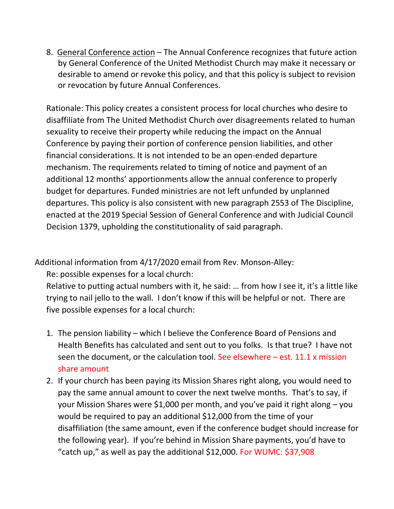8. General Conference action – The Annual Conference recognizes that future action by General Conference of the United Methodist Church may make it necessary or desirable to amend or revoke this policy, and that this policy is subject to revision or revocation by future Annual Conferences.

Rationale: This policy creates a consistent process for local churches who desire to disaffiliate from The United Methodist Church over disagreements related to human sexuality to receive their property while reducing the impact on the Annual Conference by paying their portion of conference pension liabilities, and other financial considerations. It is not intended to be an open-ended departure mechanism. The requirements related to timing of notice and payment of an additional 12 months' apportionments allow the annual conference to properly budget for departures. Funded ministries are not left unfunded by unplanned departures. This policy is also consistent with new paragraph 2553 of The Discipline, enacted at the 2019 Special Session of General Conference and with Judicial Council Decision 1379, upholding the constitutionality of said paragraph.

Additional information from 4/17/2020 email from Rev. Monson-Alley:

Re: possible expenses for a local church:

Relative to putting actual numbers with it, he said: … from how I see it, it's a little like trying to nail jello to the wall. I don't know if this will be helpful or not. There are five possible expenses for a local church:

- 1. The pension liability which I believe the Conference Board of Pensions and Health Benefits has calculated and sent out to you folks. Is that true? I have not seen the document, or the calculation tool. See elsewhere – est. 11.1 x mission share amount
- 2. If your church has been paying its Mission Shares right along, you would need to pay the same annual amount to cover the next twelve months. That's to say, if your Mission Shares were \$1,000 per month, and you've paid it right along – you would be required to pay an additional \$12,000 from the time of your disaffiliation (the same amount, even if the conference budget should increase for the following year). If you're behind in Mission Share payments, you'd have to "catch up," as well as pay the additional \$12,000. For WUMC: \$37,908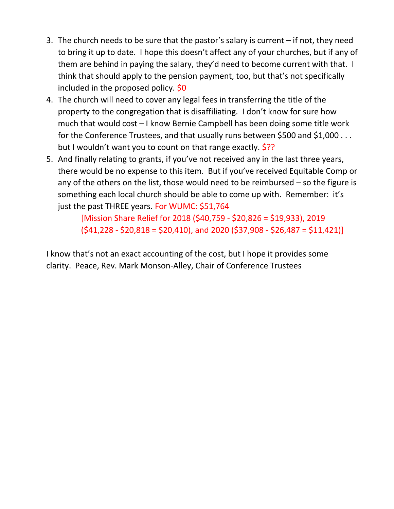- 3. The church needs to be sure that the pastor's salary is current if not, they need to bring it up to date. I hope this doesn't affect any of your churches, but if any of them are behind in paying the salary, they'd need to become current with that. I think that should apply to the pension payment, too, but that's not specifically included in the proposed policy.  $$0$
- 4. The church will need to cover any legal fees in transferring the title of the property to the congregation that is disaffiliating. I don't know for sure how much that would cost – I know Bernie Campbell has been doing some title work for the Conference Trustees, and that usually runs between \$500 and \$1,000 . . . but I wouldn't want you to count on that range exactly. \$??
- 5. And finally relating to grants, if you've not received any in the last three years, there would be no expense to this item. But if you've received Equitable Comp or any of the others on the list, those would need to be reimbursed – so the figure is something each local church should be able to come up with. Remember: it's just the past THREE years. For WUMC: \$51,764

[Mission Share Relief for 2018 (\$40,759 - \$20,826 = \$19,933), 2019  $(541,228 - 520,818 = 520,410)$ , and 2020 (\$37,908 - \$26,487 = \$11,421)]

I know that's not an exact accounting of the cost, but I hope it provides some clarity. Peace, Rev. Mark Monson-Alley, Chair of Conference Trustees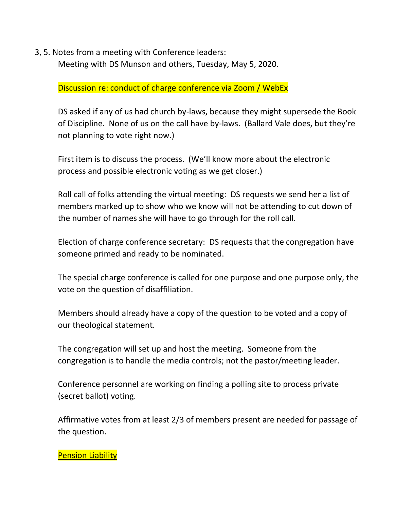3, 5. Notes from a meeting with Conference leaders:

Meeting with DS Munson and others, Tuesday, May 5, 2020.

Discussion re: conduct of charge conference via Zoom / WebEx

DS asked if any of us had church by-laws, because they might supersede the Book of Discipline. None of us on the call have by-laws. (Ballard Vale does, but they're not planning to vote right now.)

First item is to discuss the process. (We'll know more about the electronic process and possible electronic voting as we get closer.)

Roll call of folks attending the virtual meeting: DS requests we send her a list of members marked up to show who we know will not be attending to cut down of the number of names she will have to go through for the roll call.

Election of charge conference secretary: DS requests that the congregation have someone primed and ready to be nominated.

The special charge conference is called for one purpose and one purpose only, the vote on the question of disaffiliation.

Members should already have a copy of the question to be voted and a copy of our theological statement.

The congregation will set up and host the meeting. Someone from the congregation is to handle the media controls; not the pastor/meeting leader.

Conference personnel are working on finding a polling site to process private (secret ballot) voting.

Affirmative votes from at least 2/3 of members present are needed for passage of the question.

## **Pension Liability**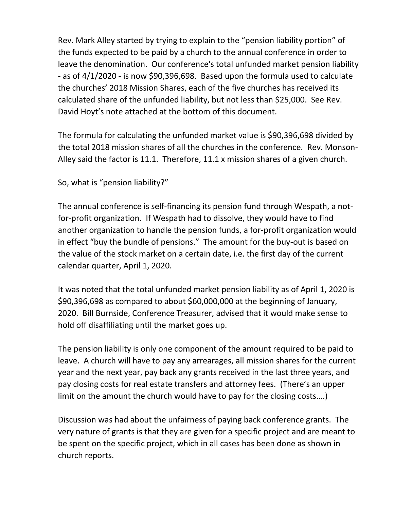Rev. Mark Alley started by trying to explain to the "pension liability portion" of the funds expected to be paid by a church to the annual conference in order to leave the denomination. Our conference's total unfunded market pension liability - as of 4/1/2020 - is now \$90,396,698. Based upon the formula used to calculate the churches' 2018 Mission Shares, each of the five churches has received its calculated share of the unfunded liability, but not less than \$25,000. See Rev. David Hoyt's note attached at the bottom of this document.

The formula for calculating the unfunded market value is \$90,396,698 divided by the total 2018 mission shares of all the churches in the conference. Rev. Monson-Alley said the factor is 11.1. Therefore, 11.1 x mission shares of a given church.

So, what is "pension liability?"

The annual conference is self-financing its pension fund through Wespath, a notfor-profit organization. If Wespath had to dissolve, they would have to find another organization to handle the pension funds, a for-profit organization would in effect "buy the bundle of pensions." The amount for the buy-out is based on the value of the stock market on a certain date, i.e. the first day of the current calendar quarter, April 1, 2020.

It was noted that the total unfunded market pension liability as of April 1, 2020 is \$90,396,698 as compared to about \$60,000,000 at the beginning of January, 2020. Bill Burnside, Conference Treasurer, advised that it would make sense to hold off disaffiliating until the market goes up.

The pension liability is only one component of the amount required to be paid to leave. A church will have to pay any arrearages, all mission shares for the current year and the next year, pay back any grants received in the last three years, and pay closing costs for real estate transfers and attorney fees. (There's an upper limit on the amount the church would have to pay for the closing costs….)

Discussion was had about the unfairness of paying back conference grants. The very nature of grants is that they are given for a specific project and are meant to be spent on the specific project, which in all cases has been done as shown in church reports.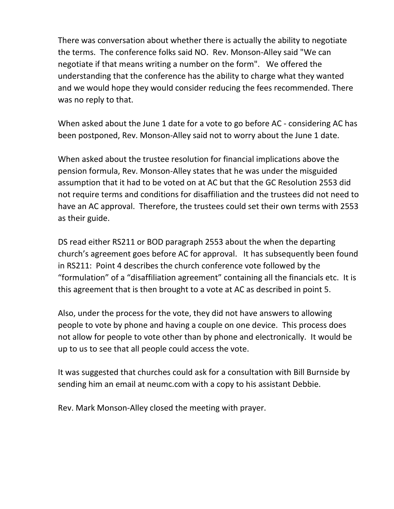There was conversation about whether there is actually the ability to negotiate the terms. The conference folks said NO. Rev. Monson-Alley said "We can negotiate if that means writing a number on the form". We offered the understanding that the conference has the ability to charge what they wanted and we would hope they would consider reducing the fees recommended. There was no reply to that.

When asked about the June 1 date for a vote to go before AC - considering AC has been postponed, Rev. Monson-Alley said not to worry about the June 1 date.

When asked about the trustee resolution for financial implications above the pension formula, Rev. Monson-Alley states that he was under the misguided assumption that it had to be voted on at AC but that the GC Resolution 2553 did not require terms and conditions for disaffiliation and the trustees did not need to have an AC approval. Therefore, the trustees could set their own terms with 2553 as their guide.

DS read either RS211 or BOD paragraph 2553 about the when the departing church's agreement goes before AC for approval. It has subsequently been found in RS211: Point 4 describes the church conference vote followed by the "formulation" of a "disaffiliation agreement" containing all the financials etc. It is this agreement that is then brought to a vote at AC as described in point 5.

Also, under the process for the vote, they did not have answers to allowing people to vote by phone and having a couple on one device. This process does not allow for people to vote other than by phone and electronically. It would be up to us to see that all people could access the vote.

It was suggested that churches could ask for a consultation with Bill Burnside by sending him an email at neumc.com with a copy to his assistant Debbie.

Rev. Mark Monson-Alley closed the meeting with prayer.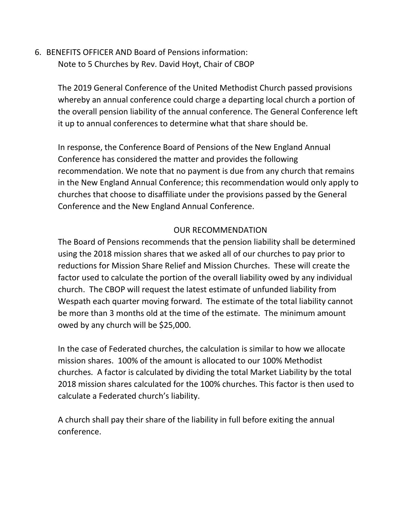6. BENEFITS OFFICER AND Board of Pensions information: Note to 5 Churches by Rev. David Hoyt, Chair of CBOP

> The 2019 General Conference of the United Methodist Church passed provisions whereby an annual conference could charge a departing local church a portion of the overall pension liability of the annual conference. The General Conference left it up to annual conferences to determine what that share should be.

> In response, the Conference Board of Pensions of the New England Annual Conference has considered the matter and provides the following recommendation. We note that no payment is due from any church that remains in the New England Annual Conference; this recommendation would only apply to churches that choose to disaffiliate under the provisions passed by the General Conference and the New England Annual Conference.

## OUR RECOMMENDATION

The Board of Pensions recommends that the pension liability shall be determined using the 2018 mission shares that we asked all of our churches to pay prior to reductions for Mission Share Relief and Mission Churches. These will create the factor used to calculate the portion of the overall liability owed by any individual church. The CBOP will request the latest estimate of unfunded liability from Wespath each quarter moving forward. The estimate of the total liability cannot be more than 3 months old at the time of the estimate. The minimum amount owed by any church will be \$25,000.

In the case of Federated churches, the calculation is similar to how we allocate mission shares. 100% of the amount is allocated to our 100% Methodist churches. A factor is calculated by dividing the total Market Liability by the total 2018 mission shares calculated for the 100% churches. This factor is then used to calculate a Federated church's liability.

A church shall pay their share of the liability in full before exiting the annual conference.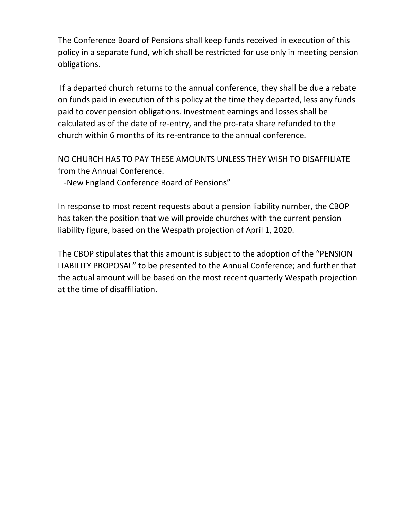The Conference Board of Pensions shall keep funds received in execution of this policy in a separate fund, which shall be restricted for use only in meeting pension obligations.

If a departed church returns to the annual conference, they shall be due a rebate on funds paid in execution of this policy at the time they departed, less any funds paid to cover pension obligations. Investment earnings and losses shall be calculated as of the date of re-entry, and the pro-rata share refunded to the church within 6 months of its re-entrance to the annual conference.

NO CHURCH HAS TO PAY THESE AMOUNTS UNLESS THEY WISH TO DISAFFILIATE from the Annual Conference.

-New England Conference Board of Pensions"

In response to most recent requests about a pension liability number, the CBOP has taken the position that we will provide churches with the current pension liability figure, based on the Wespath projection of April 1, 2020.

The CBOP stipulates that this amount is subject to the adoption of the "PENSION LIABILITY PROPOSAL" to be presented to the Annual Conference; and further that the actual amount will be based on the most recent quarterly Wespath projection at the time of disaffiliation.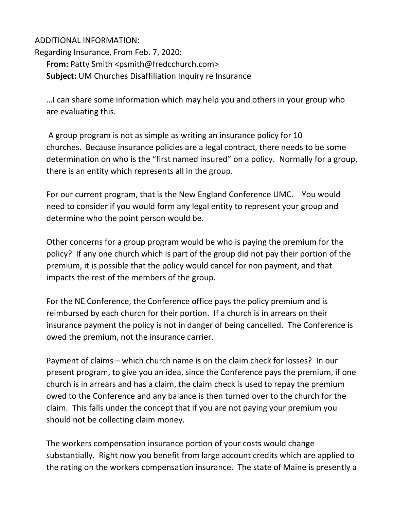#### ADDITIONAL INFORMATION:

Regarding Insurance, From Feb. 7, 2020: **From:** Patty Smith <psmith@fredcchurch.com> **Subject:** UM Churches Disaffiliation Inquiry re Insurance

…I can share some information which may help you and others in your group who are evaluating this.

A group program is not as simple as writing an insurance policy for 10 churches. Because insurance policies are a legal contract, there needs to be some determination on who is the "first named insured" on a policy. Normally for a group, there is an entity which represents all in the group.

For our current program, that is the New England Conference UMC. You would need to consider if you would form any legal entity to represent your group and determine who the point person would be.

Other concerns for a group program would be who is paying the premium for the policy? If any one church which is part of the group did not pay their portion of the premium, it is possible that the policy would cancel for non payment, and that impacts the rest of the members of the group.

For the NE Conference, the Conference office pays the policy premium and is reimbursed by each church for their portion. If a church is in arrears on their insurance payment the policy is not in danger of being cancelled. The Conference is owed the premium, not the insurance carrier.

Payment of claims – which church name is on the claim check for losses? In our present program, to give you an idea, since the Conference pays the premium, if one church is in arrears and has a claim, the claim check is used to repay the premium owed to the Conference and any balance is then turned over to the church for the claim. This falls under the concept that if you are not paying your premium you should not be collecting claim money.

The workers compensation insurance portion of your costs would change substantially. Right now you benefit from large account credits which are applied to the rating on the workers compensation insurance. The state of Maine is presently a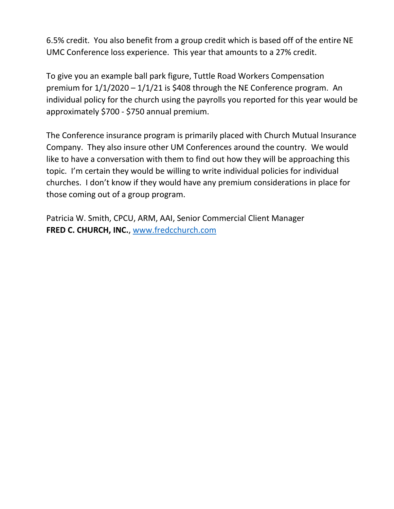6.5% credit. You also benefit from a group credit which is based off of the entire NE UMC Conference loss experience. This year that amounts to a 27% credit.

To give you an example ball park figure, Tuttle Road Workers Compensation premium for  $1/1/2020 - 1/1/21$  is \$408 through the NE Conference program. An individual policy for the church using the payrolls you reported for this year would be approximately \$700 - \$750 annual premium.

The Conference insurance program is primarily placed with Church Mutual Insurance Company. They also insure other UM Conferences around the country. We would like to have a conversation with them to find out how they will be approaching this topic. I'm certain they would be willing to write individual policies for individual churches. I don't know if they would have any premium considerations in place for those coming out of a group program.

Patricia W. Smith, CPCU, ARM, AAI, Senior Commercial Client Manager **FRED C. CHURCH, INC.**, [www.fredcchurch.com](about:blank)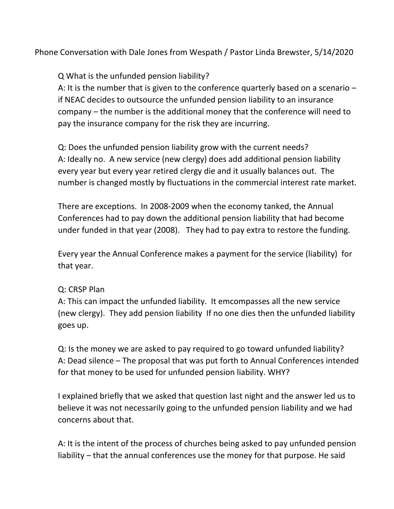Phone Conversation with Dale Jones from Wespath / Pastor Linda Brewster, 5/14/2020

Q What is the unfunded pension liability?

A: It is the number that is given to the conference quarterly based on a scenario – if NEAC decides to outsource the unfunded pension liability to an insurance company – the number is the additional money that the conference will need to pay the insurance company for the risk they are incurring.

Q: Does the unfunded pension liability grow with the current needs? A: Ideally no. A new service (new clergy) does add additional pension liability every year but every year retired clergy die and it usually balances out. The number is changed mostly by fluctuations in the commercial interest rate market.

There are exceptions. In 2008-2009 when the economy tanked, the Annual Conferences had to pay down the additional pension liability that had become under funded in that year (2008). They had to pay extra to restore the funding.

Every year the Annual Conference makes a payment for the service (liability) for that year.

### Q: CRSP Plan

A: This can impact the unfunded liability. It emcompasses all the new service (new clergy). They add pension liability If no one dies then the unfunded liability goes up.

Q: Is the money we are asked to pay required to go toward unfunded liability? A: Dead silence – The proposal that was put forth to Annual Conferences intended for that money to be used for unfunded pension liability. WHY?

I explained briefly that we asked that question last night and the answer led us to believe it was not necessarily going to the unfunded pension liability and we had concerns about that.

A: It is the intent of the process of churches being asked to pay unfunded pension liability – that the annual conferences use the money for that purpose. He said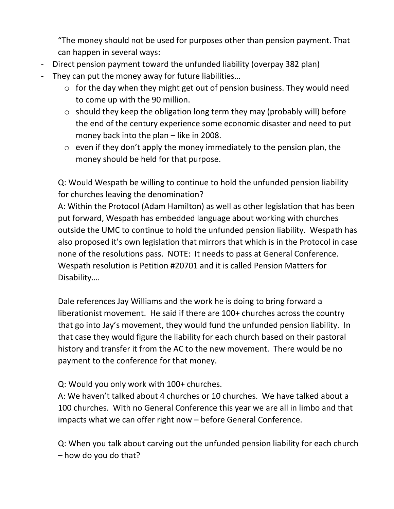"The money should not be used for purposes other than pension payment. That can happen in several ways:

- Direct pension payment toward the unfunded liability (overpay 382 plan)
- They can put the money away for future liabilities...
	- $\circ$  for the day when they might get out of pension business. They would need to come up with the 90 million.
	- o should they keep the obligation long term they may (probably will) before the end of the century experience some economic disaster and need to put money back into the plan – like in 2008.
	- $\circ$  even if they don't apply the money immediately to the pension plan, the money should be held for that purpose.

Q: Would Wespath be willing to continue to hold the unfunded pension liability for churches leaving the denomination?

A: Within the Protocol (Adam Hamilton) as well as other legislation that has been put forward, Wespath has embedded language about working with churches outside the UMC to continue to hold the unfunded pension liability. Wespath has also proposed it's own legislation that mirrors that which is in the Protocol in case none of the resolutions pass. NOTE: It needs to pass at General Conference. Wespath resolution is Petition #20701 and it is called Pension Matters for Disability….

Dale references Jay Williams and the work he is doing to bring forward a liberationist movement. He said if there are 100+ churches across the country that go into Jay's movement, they would fund the unfunded pension liability. In that case they would figure the liability for each church based on their pastoral history and transfer it from the AC to the new movement. There would be no payment to the conference for that money.

Q: Would you only work with 100+ churches.

A: We haven't talked about 4 churches or 10 churches. We have talked about a 100 churches. With no General Conference this year we are all in limbo and that impacts what we can offer right now – before General Conference.

Q: When you talk about carving out the unfunded pension liability for each church – how do you do that?